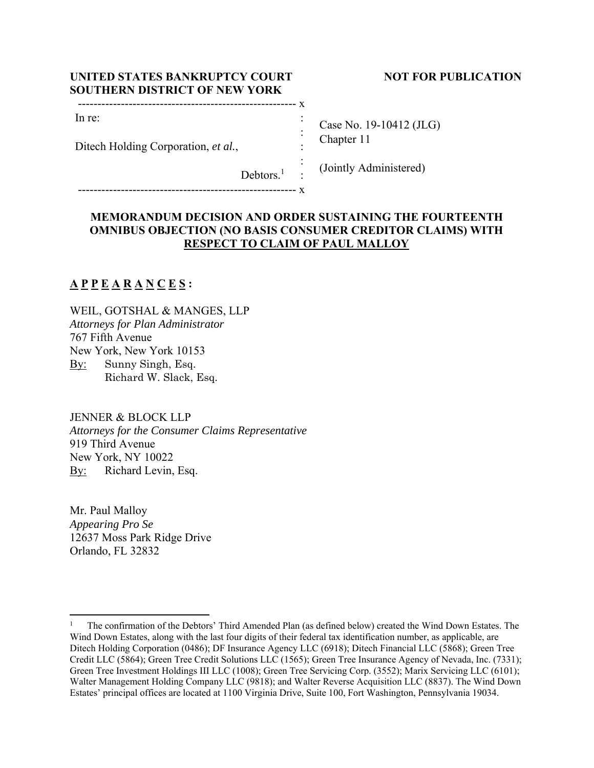| UNITED STATES BANKRUPTCY COURT       | <b>NOT FOR PUBLICATION</b> |
|--------------------------------------|----------------------------|
| <b>SOUTHERN DISTRICT OF NEW YORK</b> |                            |

Case No. 19-10412 (JLG) Chapter 11

(Jointly Administered)

 $Debtors.<sup>1</sup>$ :

-------------------------------------------------------- x

-------------------------------------------------------- x

Ditech Holding Corporation, *et al.*,

## **MEMORANDUM DECISION AND ORDER SUSTAINING THE FOURTEENTH OMNIBUS OBJECTION (NO BASIS CONSUMER CREDITOR CLAIMS) WITH RESPECT TO CLAIM OF PAUL MALLOY**

 : : : :

# **A P P E A R A N C E S :**

In re:

WEIL, GOTSHAL & MANGES, LLP *Attorneys for Plan Administrator*  767 Fifth Avenue New York, New York 10153 By: Sunny Singh, Esq. Richard W. Slack, Esq.

JENNER & BLOCK LLP *Attorneys for the Consumer Claims Representative*  919 Third Avenue New York, NY 10022 By: Richard Levin, Esq.

Mr. Paul Malloy *Appearing Pro Se*  12637 Moss Park Ridge Drive Orlando, FL 32832

<sup>1</sup> The confirmation of the Debtors' Third Amended Plan (as defined below) created the Wind Down Estates. The Wind Down Estates, along with the last four digits of their federal tax identification number, as applicable, are Ditech Holding Corporation (0486); DF Insurance Agency LLC (6918); Ditech Financial LLC (5868); Green Tree Credit LLC (5864); Green Tree Credit Solutions LLC (1565); Green Tree Insurance Agency of Nevada, Inc. (7331); Green Tree Investment Holdings III LLC (1008); Green Tree Servicing Corp. (3552); Marix Servicing LLC (6101); Walter Management Holding Company LLC (9818); and Walter Reverse Acquisition LLC (8837). The Wind Down Estates' principal offices are located at 1100 Virginia Drive, Suite 100, Fort Washington, Pennsylvania 19034.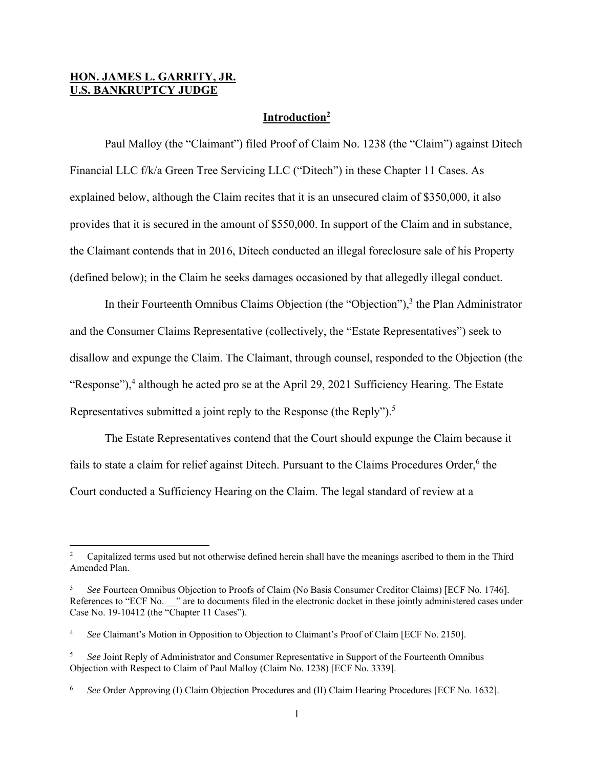## **HON. JAMES L. GARRITY, JR. U.S. BANKRUPTCY JUDGE**

### **Introduction2**

 Paul Malloy (the "Claimant") filed Proof of Claim No. 1238 (the "Claim") against Ditech Financial LLC f/k/a Green Tree Servicing LLC ("Ditech") in these Chapter 11 Cases. As explained below, although the Claim recites that it is an unsecured claim of \$350,000, it also provides that it is secured in the amount of \$550,000. In support of the Claim and in substance, the Claimant contends that in 2016, Ditech conducted an illegal foreclosure sale of his Property (defined below); in the Claim he seeks damages occasioned by that allegedly illegal conduct.

In their Fourteenth Omnibus Claims Objection (the "Objection"),<sup>3</sup> the Plan Administrator and the Consumer Claims Representative (collectively, the "Estate Representatives") seek to disallow and expunge the Claim. The Claimant, through counsel, responded to the Objection (the "Response"),<sup>4</sup> although he acted pro se at the April 29, 2021 Sufficiency Hearing. The Estate Representatives submitted a joint reply to the Response (the Reply").<sup>5</sup>

 The Estate Representatives contend that the Court should expunge the Claim because it fails to state a claim for relief against Ditech. Pursuant to the Claims Procedures Order,<sup>6</sup> the Court conducted a Sufficiency Hearing on the Claim. The legal standard of review at a

<sup>2</sup> Capitalized terms used but not otherwise defined herein shall have the meanings ascribed to them in the Third Amended Plan.

<sup>3</sup> *See* Fourteen Omnibus Objection to Proofs of Claim (No Basis Consumer Creditor Claims) [ECF No. 1746]. References to "ECF No. " are to documents filed in the electronic docket in these jointly administered cases under Case No. 19-10412 (the "Chapter 11 Cases").

<sup>4</sup> *See* Claimant's Motion in Opposition to Objection to Claimant's Proof of Claim [ECF No. 2150].

<sup>5</sup> *See* Joint Reply of Administrator and Consumer Representative in Support of the Fourteenth Omnibus Objection with Respect to Claim of Paul Malloy (Claim No. 1238) [ECF No. 3339].

<sup>6</sup> *See* Order Approving (I) Claim Objection Procedures and (II) Claim Hearing Procedures [ECF No. 1632].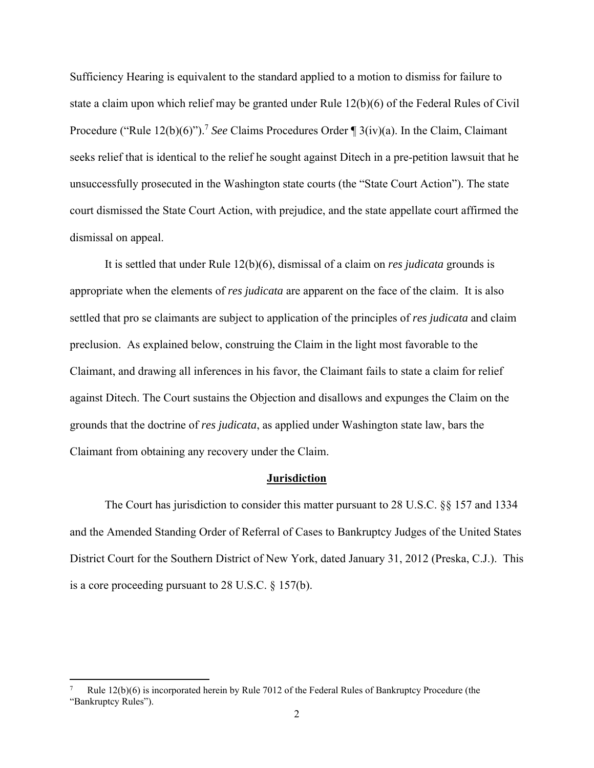Sufficiency Hearing is equivalent to the standard applied to a motion to dismiss for failure to state a claim upon which relief may be granted under Rule 12(b)(6) of the Federal Rules of Civil Procedure ("Rule 12(b)(6)").<sup>7</sup> See Claims Procedures Order ¶ 3(iv)(a). In the Claim, Claimant seeks relief that is identical to the relief he sought against Ditech in a pre-petition lawsuit that he unsuccessfully prosecuted in the Washington state courts (the "State Court Action"). The state court dismissed the State Court Action, with prejudice, and the state appellate court affirmed the dismissal on appeal.

 It is settled that under Rule 12(b)(6), dismissal of a claim on *res judicata* grounds is appropriate when the elements of *res judicata* are apparent on the face of the claim. It is also settled that pro se claimants are subject to application of the principles of *res judicata* and claim preclusion. As explained below, construing the Claim in the light most favorable to the Claimant, and drawing all inferences in his favor, the Claimant fails to state a claim for relief against Ditech. The Court sustains the Objection and disallows and expunges the Claim on the grounds that the doctrine of *res judicata*, as applied under Washington state law, bars the Claimant from obtaining any recovery under the Claim.

#### **Jurisdiction**

 The Court has jurisdiction to consider this matter pursuant to 28 U.S.C. §§ 157 and 1334 and the Amended Standing Order of Referral of Cases to Bankruptcy Judges of the United States District Court for the Southern District of New York, dated January 31, 2012 (Preska, C.J.). This is a core proceeding pursuant to 28 U.S.C. § 157(b).

<sup>7</sup> Rule 12(b)(6) is incorporated herein by Rule 7012 of the Federal Rules of Bankruptcy Procedure (the "Bankruptcy Rules").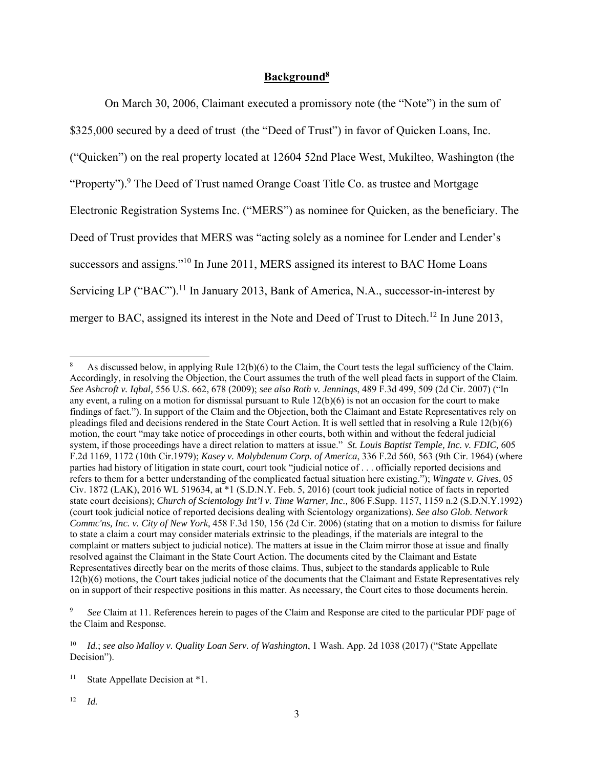## **Background8**

 On March 30, 2006, Claimant executed a promissory note (the "Note") in the sum of \$325,000 secured by a deed of trust (the "Deed of Trust") in favor of Quicken Loans, Inc. ("Quicken") on the real property located at 12604 52nd Place West, Mukilteo, Washington (the "Property").<sup>9</sup> The Deed of Trust named Orange Coast Title Co. as trustee and Mortgage Electronic Registration Systems Inc. ("MERS") as nominee for Quicken, as the beneficiary. The Deed of Trust provides that MERS was "acting solely as a nominee for Lender and Lender's successors and assigns."<sup>10</sup> In June 2011, MERS assigned its interest to BAC Home Loans Servicing LP ("BAC").<sup>11</sup> In January 2013, Bank of America, N.A., successor-in-interest by merger to BAC, assigned its interest in the Note and Deed of Trust to Ditech.<sup>12</sup> In June 2013,

<sup>8</sup> As discussed below, in applying Rule 12(b)(6) to the Claim, the Court tests the legal sufficiency of the Claim. Accordingly, in resolving the Objection, the Court assumes the truth of the well plead facts in support of the Claim. *See Ashcroft v. Iqbal,* 556 U.S. 662, 678 (2009); *see also Roth v. Jennings*, 489 F.3d 499, 509 (2d Cir. 2007) ("In any event, a ruling on a motion for dismissal pursuant to Rule 12(b)(6) is not an occasion for the court to make findings of fact."). In support of the Claim and the Objection, both the Claimant and Estate Representatives rely on pleadings filed and decisions rendered in the State Court Action. It is well settled that in resolving a Rule 12(b)(6) motion, the court "may take notice of proceedings in other courts, both within and without the federal judicial system, if those proceedings have a direct relation to matters at issue." *St. Louis Baptist Temple, Inc. v. FDIC,* 605 F.2d 1169, 1172 (10th Cir.1979); *Kasey v. Molybdenum Corp. of America*, 336 F.2d 560, 563 (9th Cir. 1964) (where parties had history of litigation in state court, court took "judicial notice of . . . officially reported decisions and refers to them for a better understanding of the complicated factual situation here existing."); *Wingate v. Gives*, 05 Civ. 1872 (LAK), 2016 WL 519634, at \*1 (S.D.N.Y. Feb. 5, 2016) (court took judicial notice of facts in reported state court decisions); *Church of Scientology Int'l v. Time Warner, Inc.,* 806 F.Supp. 1157, 1159 n.2 (S.D.N.Y.1992) (court took judicial notice of reported decisions dealing with Scientology organizations). *See also Glob. Network Commc'ns, Inc. v. City of New York*, 458 F.3d 150, 156 (2d Cir. 2006) (stating that on a motion to dismiss for failure to state a claim a court may consider materials extrinsic to the pleadings, if the materials are integral to the complaint or matters subject to judicial notice). The matters at issue in the Claim mirror those at issue and finally resolved against the Claimant in the State Court Action. The documents cited by the Claimant and Estate Representatives directly bear on the merits of those claims. Thus, subject to the standards applicable to Rule 12(b)(6) motions, the Court takes judicial notice of the documents that the Claimant and Estate Representatives rely on in support of their respective positions in this matter. As necessary, the Court cites to those documents herein.

<sup>9</sup> *See* Claim at 11. References herein to pages of the Claim and Response are cited to the particular PDF page of the Claim and Response.

<sup>10</sup> *Id.*; *see also Malloy v. Quality Loan Serv. of Washington*, 1 Wash. App. 2d 1038 (2017) ("State Appellate Decision").

<sup>&</sup>lt;sup>11</sup> State Appellate Decision at  $*1$ .

 $12$  *Id.*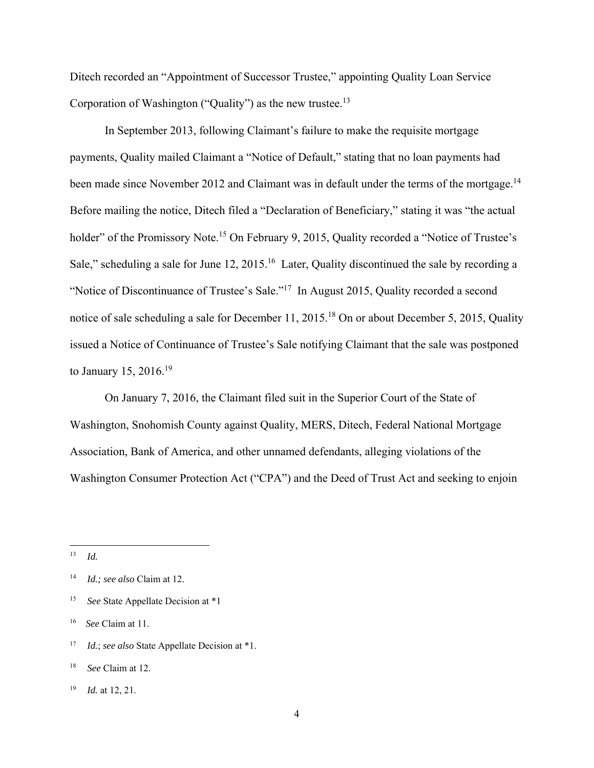Ditech recorded an "Appointment of Successor Trustee," appointing Quality Loan Service Corporation of Washington ("Quality") as the new trustee.<sup>13</sup>

 In September 2013, following Claimant's failure to make the requisite mortgage payments, Quality mailed Claimant a "Notice of Default," stating that no loan payments had been made since November 2012 and Claimant was in default under the terms of the mortgage.<sup>14</sup> Before mailing the notice, Ditech filed a "Declaration of Beneficiary," stating it was "the actual holder" of the Promissory Note.<sup>15</sup> On February 9, 2015, Quality recorded a "Notice of Trustee's Sale," scheduling a sale for June 12, 2015.<sup>16</sup> Later, Quality discontinued the sale by recording a "Notice of Discontinuance of Trustee's Sale."17 In August 2015, Quality recorded a second notice of sale scheduling a sale for December 11, 2015.18 On or about December 5, 2015, Quality issued a Notice of Continuance of Trustee's Sale notifying Claimant that the sale was postponed to January 15, 2016.19

 On January 7, 2016, the Claimant filed suit in the Superior Court of the State of Washington, Snohomish County against Quality, MERS, Ditech, Federal National Mortgage Association, Bank of America, and other unnamed defendants, alleging violations of the Washington Consumer Protection Act ("CPA") and the Deed of Trust Act and seeking to enjoin

 $13$  *Id.* 

<sup>14</sup> *Id.; see also* Claim at 12.

<sup>15</sup> *See* State Appellate Decision at \*1

<sup>16</sup> *See* Claim at 11.

<sup>17</sup> *Id.*; *see also* State Appellate Decision at \*1.

<sup>18</sup> *See* Claim at 12.

<sup>19</sup> *Id.* at 12, 21.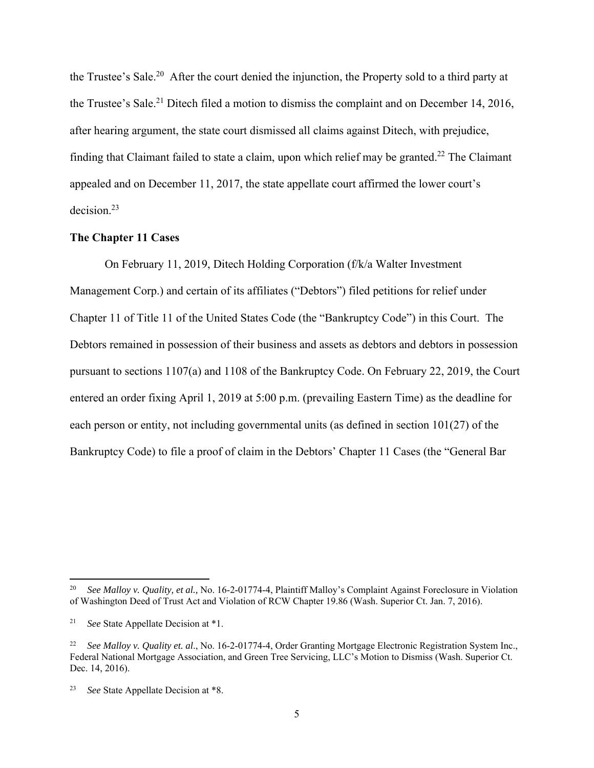the Trustee's Sale.20 After the court denied the injunction, the Property sold to a third party at the Trustee's Sale.<sup>21</sup> Ditech filed a motion to dismiss the complaint and on December 14, 2016, after hearing argument, the state court dismissed all claims against Ditech, with prejudice, finding that Claimant failed to state a claim, upon which relief may be granted.<sup>22</sup> The Claimant appealed and on December 11, 2017, the state appellate court affirmed the lower court's decision.23

### **The Chapter 11 Cases**

 On February 11, 2019, Ditech Holding Corporation (f/k/a Walter Investment Management Corp.) and certain of its affiliates ("Debtors") filed petitions for relief under Chapter 11 of Title 11 of the United States Code (the "Bankruptcy Code") in this Court. The Debtors remained in possession of their business and assets as debtors and debtors in possession pursuant to sections 1107(a) and 1108 of the Bankruptcy Code. On February 22, 2019, the Court entered an order fixing April 1, 2019 at 5:00 p.m. (prevailing Eastern Time) as the deadline for each person or entity, not including governmental units (as defined in section 101(27) of the Bankruptcy Code) to file a proof of claim in the Debtors' Chapter 11 Cases (the "General Bar

<sup>20</sup> *See Malloy v. Quality, et al.,* No. 16-2-01774-4, Plaintiff Malloy's Complaint Against Foreclosure in Violation of Washington Deed of Trust Act and Violation of RCW Chapter 19.86 (Wash. Superior Ct. Jan. 7, 2016).

<sup>21</sup> *See* State Appellate Decision at \*1.

<sup>22</sup> *See Malloy v. Quality et. al*., No. 16-2-01774-4, Order Granting Mortgage Electronic Registration System Inc., Federal National Mortgage Association, and Green Tree Servicing, LLC's Motion to Dismiss (Wash. Superior Ct. Dec. 14, 2016).

See State Appellate Decision at \*8.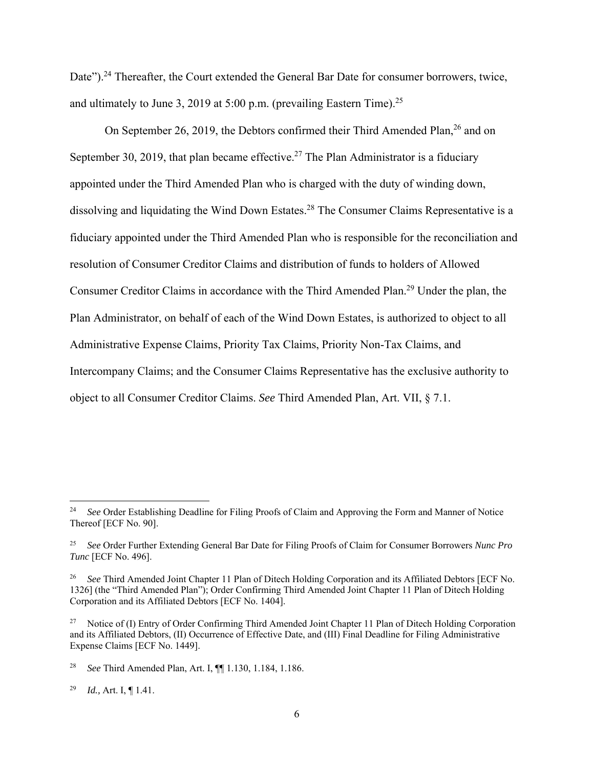Date").<sup>24</sup> Thereafter, the Court extended the General Bar Date for consumer borrowers, twice, and ultimately to June 3, 2019 at 5:00 p.m. (prevailing Eastern Time).<sup>25</sup>

On September 26, 2019, the Debtors confirmed their Third Amended Plan,<sup>26</sup> and on September 30, 2019, that plan became effective.<sup>27</sup> The Plan Administrator is a fiduciary appointed under the Third Amended Plan who is charged with the duty of winding down, dissolving and liquidating the Wind Down Estates.<sup>28</sup> The Consumer Claims Representative is a fiduciary appointed under the Third Amended Plan who is responsible for the reconciliation and resolution of Consumer Creditor Claims and distribution of funds to holders of Allowed Consumer Creditor Claims in accordance with the Third Amended Plan.29 Under the plan, the Plan Administrator, on behalf of each of the Wind Down Estates, is authorized to object to all Administrative Expense Claims, Priority Tax Claims, Priority Non-Tax Claims, and Intercompany Claims; and the Consumer Claims Representative has the exclusive authority to object to all Consumer Creditor Claims. *See* Third Amended Plan, Art. VII, § 7.1.

29 *Id.,* Art. I, ¶ 1.41.

<sup>&</sup>lt;sup>24</sup> *See* Order Establishing Deadline for Filing Proofs of Claim and Approving the Form and Manner of Notice Thereof [ECF No. 90].

<sup>25</sup> *See* Order Further Extending General Bar Date for Filing Proofs of Claim for Consumer Borrowers *Nunc Pro Tunc* [ECF No. 496].

<sup>&</sup>lt;sup>26</sup> *See* Third Amended Joint Chapter 11 Plan of Ditech Holding Corporation and its Affiliated Debtors [ECF No. 1326] (the "Third Amended Plan"); Order Confirming Third Amended Joint Chapter 11 Plan of Ditech Holding Corporation and its Affiliated Debtors [ECF No. 1404].

<sup>&</sup>lt;sup>27</sup> Notice of (I) Entry of Order Confirming Third Amended Joint Chapter 11 Plan of Ditech Holding Corporation and its Affiliated Debtors, (II) Occurrence of Effective Date, and (III) Final Deadline for Filing Administrative Expense Claims [ECF No. 1449].

<sup>28</sup> *See* Third Amended Plan, Art. I, ¶¶ 1.130, 1.184, 1.186.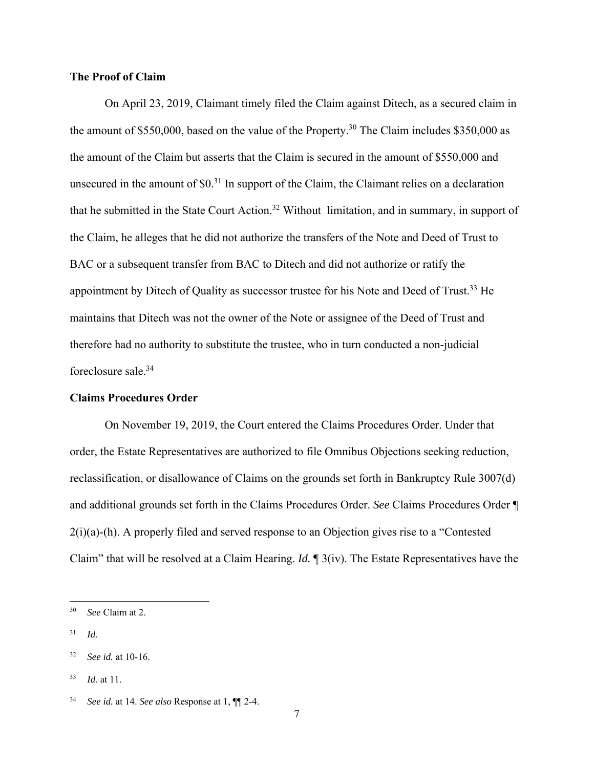## **The Proof of Claim**

 On April 23, 2019, Claimant timely filed the Claim against Ditech, as a secured claim in the amount of \$550,000, based on the value of the Property.<sup>30</sup> The Claim includes  $$350,000$  as the amount of the Claim but asserts that the Claim is secured in the amount of \$550,000 and unsecured in the amount of \$0.31 In support of the Claim, the Claimant relies on a declaration that he submitted in the State Court Action.32 Without limitation, and in summary, in support of the Claim, he alleges that he did not authorize the transfers of the Note and Deed of Trust to BAC or a subsequent transfer from BAC to Ditech and did not authorize or ratify the appointment by Ditech of Quality as successor trustee for his Note and Deed of Trust.<sup>33</sup> He maintains that Ditech was not the owner of the Note or assignee of the Deed of Trust and therefore had no authority to substitute the trustee, who in turn conducted a non-judicial foreclosure sale.34

#### **Claims Procedures Order**

 On November 19, 2019, the Court entered the Claims Procedures Order. Under that order, the Estate Representatives are authorized to file Omnibus Objections seeking reduction, reclassification, or disallowance of Claims on the grounds set forth in Bankruptcy Rule 3007(d) and additional grounds set forth in the Claims Procedures Order. *See* Claims Procedures Order ¶  $2(i)(a)$ -(h). A properly filed and served response to an Objection gives rise to a "Contested" Claim" that will be resolved at a Claim Hearing. *Id.* ¶ 3(iv). The Estate Representatives have the

31 *Id.* 

33 *Id.* at 11.

<sup>30</sup> *See* Claim at 2.

<sup>32</sup> *See id.* at 10-16.

<sup>34</sup> *See id.* at 14. *See also* Response at 1, ¶¶ 2-4.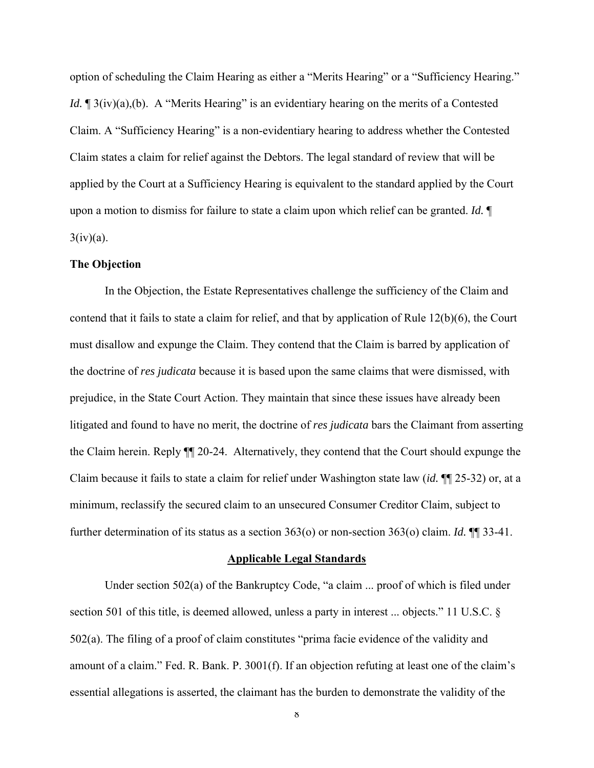option of scheduling the Claim Hearing as either a "Merits Hearing" or a "Sufficiency Hearing." *Id.*  $\mathbb{I}$  3(iv)(a),(b). A "Merits Hearing" is an evidentiary hearing on the merits of a Contested Claim. A "Sufficiency Hearing" is a non-evidentiary hearing to address whether the Contested Claim states a claim for relief against the Debtors. The legal standard of review that will be applied by the Court at a Sufficiency Hearing is equivalent to the standard applied by the Court upon a motion to dismiss for failure to state a claim upon which relief can be granted. *Id.* ¶  $3(iv)(a)$ .

## **The Objection**

 In the Objection, the Estate Representatives challenge the sufficiency of the Claim and contend that it fails to state a claim for relief, and that by application of Rule 12(b)(6), the Court must disallow and expunge the Claim. They contend that the Claim is barred by application of the doctrine of *res judicata* because it is based upon the same claims that were dismissed, with prejudice, in the State Court Action. They maintain that since these issues have already been litigated and found to have no merit, the doctrine of *res judicata* bars the Claimant from asserting the Claim herein. Reply ¶¶ 20-24. Alternatively, they contend that the Court should expunge the Claim because it fails to state a claim for relief under Washington state law (*id.* ¶¶ 25-32) or, at a minimum, reclassify the secured claim to an unsecured Consumer Creditor Claim, subject to further determination of its status as a section 363(o) or non-section 363(o) claim. *Id.* ¶¶ 33-41.

#### **Applicable Legal Standards**

 Under section 502(a) of the Bankruptcy Code, "a claim ... proof of which is filed under section 501 of this title, is deemed allowed, unless a party in interest ... objects." 11 U.S.C. § 502(a). The filing of a proof of claim constitutes "prima facie evidence of the validity and amount of a claim." Fed. R. Bank. P. 3001(f). If an objection refuting at least one of the claim's essential allegations is asserted, the claimant has the burden to demonstrate the validity of the

 $\boldsymbol{8}$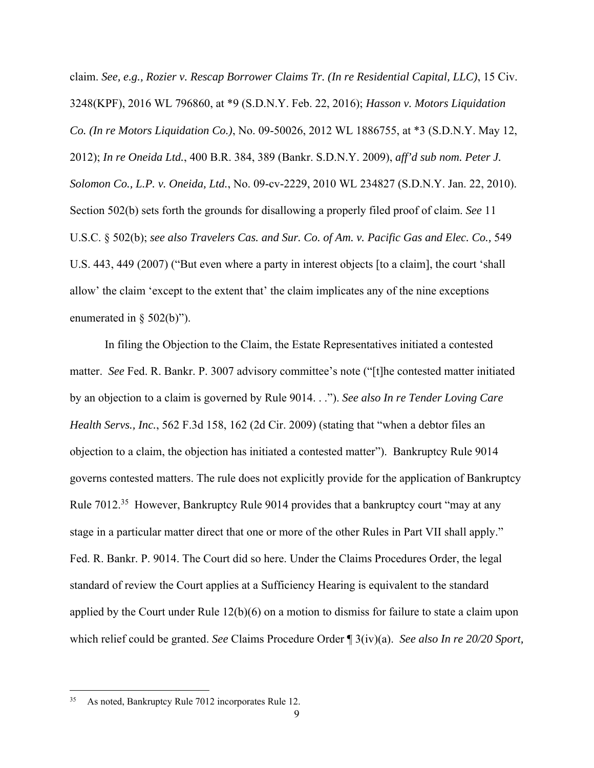claim. *See, e.g., Rozier v. Rescap Borrower Claims Tr. (In re Residential Capital, LLC)*, 15 Civ. 3248(KPF), 2016 WL 796860, at \*9 (S.D.N.Y. Feb. 22, 2016); *Hasson v. Motors Liquidation Co. (In re Motors Liquidation Co.)*, No. 09-50026, 2012 WL 1886755, at \*3 (S.D.N.Y. May 12, 2012); *In re Oneida Ltd.*, 400 B.R. 384, 389 (Bankr. S.D.N.Y. 2009), *aff'd sub nom. Peter J. Solomon Co., L.P. v. Oneida, Ltd.*, No. 09-cv-2229, 2010 WL 234827 (S.D.N.Y. Jan. 22, 2010). Section 502(b) sets forth the grounds for disallowing a properly filed proof of claim. *See* 11 U.S.C. § 502(b); *see also Travelers Cas. and Sur. Co. of Am. v. Pacific Gas and Elec. Co.,* 549 U.S. 443, 449 (2007) ("But even where a party in interest objects [to a claim], the court 'shall allow' the claim 'except to the extent that' the claim implicates any of the nine exceptions enumerated in § 502(b)").

 In filing the Objection to the Claim, the Estate Representatives initiated a contested matter. *See* Fed. R. Bankr. P. 3007 advisory committee's note ("[t]he contested matter initiated by an objection to a claim is governed by Rule 9014. . ."). *See also In re Tender Loving Care Health Servs., Inc.*, 562 F.3d 158, 162 (2d Cir. 2009) (stating that "when a debtor files an objection to a claim, the objection has initiated a contested matter"). Bankruptcy Rule 9014 governs contested matters. The rule does not explicitly provide for the application of Bankruptcy Rule 7012.<sup>35</sup> However, Bankruptcy Rule 9014 provides that a bankruptcy court "may at any stage in a particular matter direct that one or more of the other Rules in Part VII shall apply." Fed. R. Bankr. P. 9014. The Court did so here. Under the Claims Procedures Order, the legal standard of review the Court applies at a Sufficiency Hearing is equivalent to the standard applied by the Court under Rule 12(b)(6) on a motion to dismiss for failure to state a claim upon which relief could be granted. *See* Claims Procedure Order ¶ 3(iv)(a). *See also In re 20/20 Sport,* 

<sup>35</sup> As noted, Bankruptcy Rule 7012 incorporates Rule 12.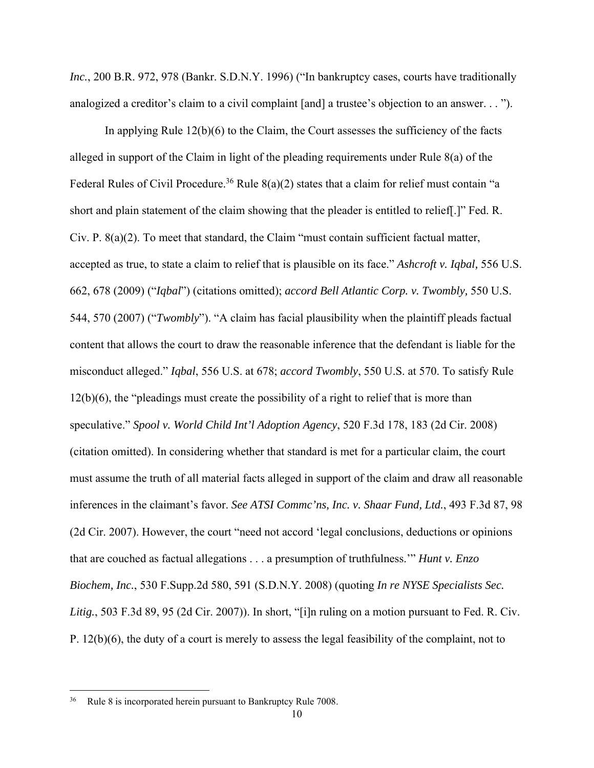*Inc.*, 200 B.R. 972, 978 (Bankr. S.D.N.Y. 1996) ("In bankruptcy cases, courts have traditionally analogized a creditor's claim to a civil complaint [and] a trustee's objection to an answer. . . ").

 In applying Rule 12(b)(6) to the Claim, the Court assesses the sufficiency of the facts alleged in support of the Claim in light of the pleading requirements under Rule 8(a) of the Federal Rules of Civil Procedure.<sup>36</sup> Rule  $8(a)(2)$  states that a claim for relief must contain "a short and plain statement of the claim showing that the pleader is entitled to relief[.]" Fed. R. Civ. P. 8(a)(2). To meet that standard, the Claim "must contain sufficient factual matter, accepted as true, to state a claim to relief that is plausible on its face." *Ashcroft v. Iqbal,* 556 U.S. 662, 678 (2009) ("*Iqbal*") (citations omitted); *accord Bell Atlantic Corp. v. Twombly,* 550 U.S. 544, 570 (2007) ("*Twombly*"). "A claim has facial plausibility when the plaintiff pleads factual content that allows the court to draw the reasonable inference that the defendant is liable for the misconduct alleged." *Iqbal*, 556 U.S. at 678; *accord Twombly*, 550 U.S. at 570. To satisfy Rule 12(b)(6), the "pleadings must create the possibility of a right to relief that is more than speculative." *Spool v. World Child Int'l Adoption Agency*, 520 F.3d 178, 183 (2d Cir. 2008) (citation omitted). In considering whether that standard is met for a particular claim, the court must assume the truth of all material facts alleged in support of the claim and draw all reasonable inferences in the claimant's favor. *See ATSI Commc'ns, Inc. v. Shaar Fund, Ltd.*, 493 F.3d 87, 98 (2d Cir. 2007). However, the court "need not accord 'legal conclusions, deductions or opinions that are couched as factual allegations . . . a presumption of truthfulness.'" *Hunt v. Enzo Biochem, Inc.*, 530 F.Supp.2d 580, 591 (S.D.N.Y. 2008) (quoting *In re NYSE Specialists Sec. Litig.*, 503 F.3d 89, 95 (2d Cir. 2007)). In short, "[i]n ruling on a motion pursuant to Fed. R. Civ. P. 12(b)(6), the duty of a court is merely to assess the legal feasibility of the complaint, not to

<sup>36</sup> Rule 8 is incorporated herein pursuant to Bankruptcy Rule 7008.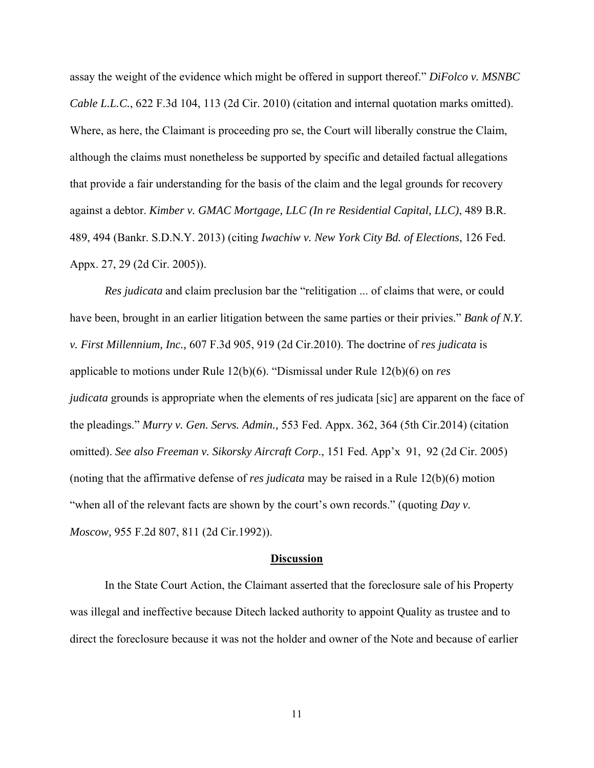assay the weight of the evidence which might be offered in support thereof." *DiFolco v. MSNBC Cable L.L.C.*, 622 F.3d 104, 113 (2d Cir. 2010) (citation and internal quotation marks omitted). Where, as here, the Claimant is proceeding pro se, the Court will liberally construe the Claim, although the claims must nonetheless be supported by specific and detailed factual allegations that provide a fair understanding for the basis of the claim and the legal grounds for recovery against a debtor. *Kimber v. GMAC Mortgage, LLC (In re Residential Capital, LLC)*, 489 B.R. 489, 494 (Bankr. S.D.N.Y. 2013) (citing *Iwachiw v. New York City Bd. of Elections*, 126 Fed. Appx. 27, 29 (2d Cir. 2005)).

*Res judicata* and claim preclusion bar the "relitigation ... of claims that were, or could have been, brought in an earlier litigation between the same parties or their privies." *Bank of N.Y. v. First Millennium, Inc.,* 607 F.3d 905, 919 (2d Cir.2010). The doctrine of *res judicata* is applicable to motions under Rule 12(b)(6). "Dismissal under Rule 12(b)(6) on *res judicata* grounds is appropriate when the elements of res judicata [sic] are apparent on the face of the pleadings." *Murry v. Gen. Servs. Admin.,* 553 Fed. Appx. 362, 364 (5th Cir.2014) (citation omitted). *See also Freeman v. Sikorsky Aircraft Corp*., 151 Fed. App'x 91, 92 (2d Cir. 2005) (noting that the affirmative defense of *res judicata* may be raised in a Rule 12(b)(6) motion "when all of the relevant facts are shown by the court's own records." (quoting *Day v*. *Moscow,* 955 F.2d 807, 811 (2d Cir.1992)).

#### **Discussion**

 In the State Court Action, the Claimant asserted that the foreclosure sale of his Property was illegal and ineffective because Ditech lacked authority to appoint Quality as trustee and to direct the foreclosure because it was not the holder and owner of the Note and because of earlier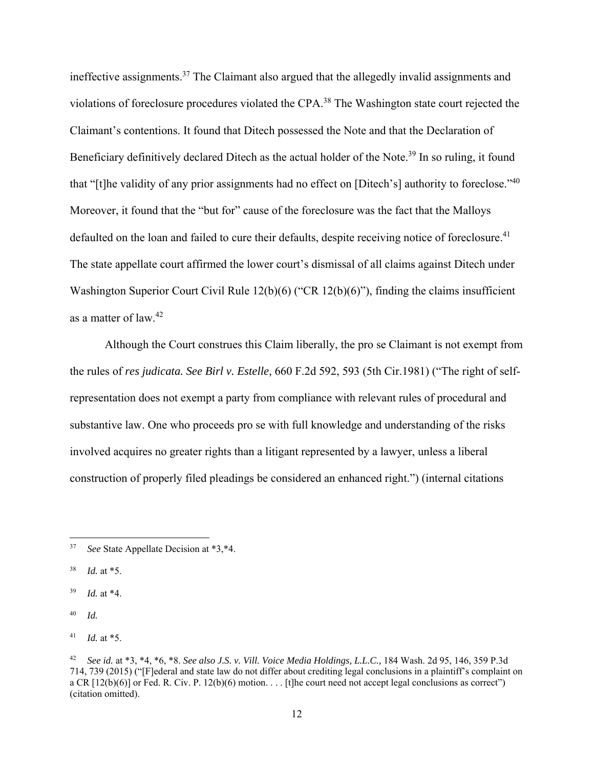ineffective assignments.37 The Claimant also argued that the allegedly invalid assignments and violations of foreclosure procedures violated the CPA.38 The Washington state court rejected the Claimant's contentions. It found that Ditech possessed the Note and that the Declaration of Beneficiary definitively declared Ditech as the actual holder of the Note.<sup>39</sup> In so ruling, it found that "[t]he validity of any prior assignments had no effect on [Ditech's] authority to foreclose."40 Moreover, it found that the "but for" cause of the foreclosure was the fact that the Malloys defaulted on the loan and failed to cure their defaults, despite receiving notice of foreclosure.<sup>41</sup> The state appellate court affirmed the lower court's dismissal of all claims against Ditech under Washington Superior Court Civil Rule 12(b)(6) ("CR 12(b)(6)"), finding the claims insufficient as a matter of law.42

 Although the Court construes this Claim liberally, the pro se Claimant is not exempt from the rules of *res judicata. See Birl v. Estelle,* 660 F.2d 592, 593 (5th Cir.1981) ("The right of selfrepresentation does not exempt a party from compliance with relevant rules of procedural and substantive law. One who proceeds pro se with full knowledge and understanding of the risks involved acquires no greater rights than a litigant represented by a lawyer, unless a liberal construction of properly filed pleadings be considered an enhanced right.") (internal citations

<sup>37</sup> *See* State Appellate Decision at \*3,\*4.

<sup>38</sup> *Id.* at \*5.

<sup>39</sup> *Id.* at \*4.

<sup>40</sup> *Id.*

<sup>41</sup> *Id.* at \*5.

<sup>42</sup> *See id.* at \*3, \*4, \*6, \*8. *See also J.S. v. Vill. Voice Media Holdings, L.L.C.,* 184 Wash. 2d 95, 146, 359 P.3d 714, 739 (2015) ("[F]ederal and state law do not differ about crediting legal conclusions in a plaintiff's complaint on a CR  $[12(b)(6)]$  or Fed. R. Civ. P.  $12(b)(6)$  motion. . . . [t]he court need not accept legal conclusions as correct") (citation omitted).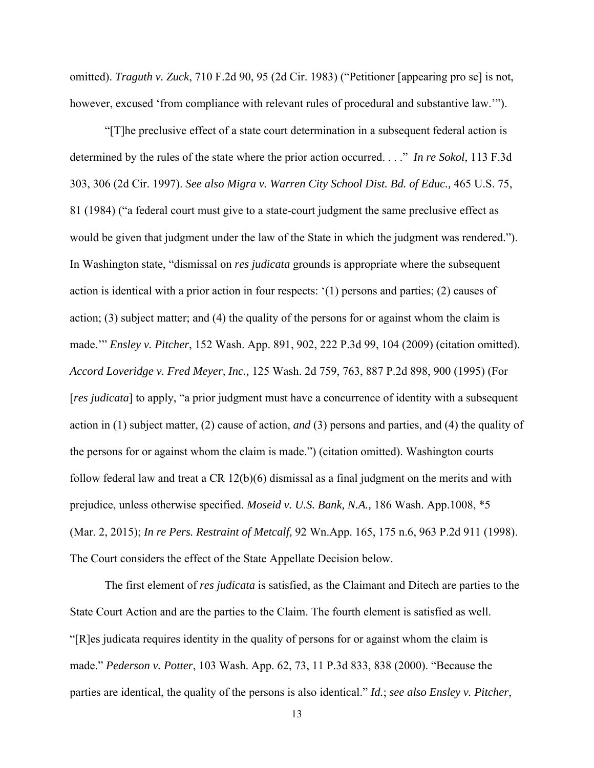omitted). *Traguth v. Zuck*, 710 F.2d 90, 95 (2d Cir. 1983) ("Petitioner [appearing pro se] is not, however, excused 'from compliance with relevant rules of procedural and substantive law.'").

 "[T]he preclusive effect of a state court determination in a subsequent federal action is determined by the rules of the state where the prior action occurred. . . ." *In re Sokol*, 113 F.3d 303, 306 (2d Cir. 1997). *See also Migra v. Warren City School Dist. Bd. of Educ.,* 465 U.S. 75, 81 (1984) ("a federal court must give to a state-court judgment the same preclusive effect as would be given that judgment under the law of the State in which the judgment was rendered."). In Washington state, "dismissal on *res judicata* grounds is appropriate where the subsequent action is identical with a prior action in four respects: '(1) persons and parties; (2) causes of action; (3) subject matter; and (4) the quality of the persons for or against whom the claim is made.'" *Ensley v. Pitcher*, 152 Wash. App. 891, 902, 222 P.3d 99, 104 (2009) (citation omitted). *Accord Loveridge v. Fred Meyer, Inc.,* 125 Wash. 2d 759, 763, 887 P.2d 898, 900 (1995) (For [*res judicata*] to apply, "a prior judgment must have a concurrence of identity with a subsequent action in (1) subject matter, (2) cause of action, *and* (3) persons and parties, and (4) the quality of the persons for or against whom the claim is made.") (citation omitted). Washington courts follow federal law and treat a CR 12(b)(6) dismissal as a final judgment on the merits and with prejudice, unless otherwise specified. *Moseid v. U.S. Bank, N.A.,* 186 Wash. App.1008, \*5 (Mar. 2, 2015); *In re Pers. Restraint of Metcalf,* 92 Wn.App. 165, 175 n.6, 963 P.2d 911 (1998). The Court considers the effect of the State Appellate Decision below.

 The first element of *res judicata* is satisfied, as the Claimant and Ditech are parties to the State Court Action and are the parties to the Claim. The fourth element is satisfied as well. "[R]es judicata requires identity in the quality of persons for or against whom the claim is made." *Pederson v. Potter*, 103 Wash. App. 62, 73, 11 P.3d 833, 838 (2000). "Because the parties are identical, the quality of the persons is also identical." *Id.*; *see also Ensley v. Pitcher*,